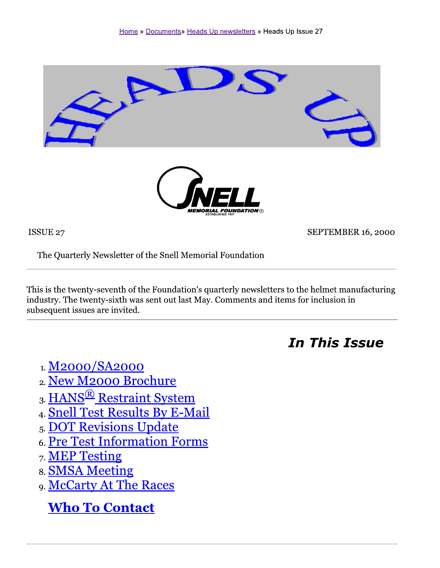

ISSUE 27

SEPTEMBER 16, 2000

The Quarterly Newsletter of the Snell Memorial Foundation

This is the twenty-seventh of the Foundation's quarterly newsletters to the helmet manufacturing industry. The twenty-sixth was sent out last May. Comments and items for inclusion in subsequent issues are invited.

**In This Issue** 

- 1. M2000/SA2000
- 2. New M2000 Brochure
- 3. HANS<sup>®</sup> Restraint System
- 4. Snell Test Results By E-Mail
- 5. DOT Revisions Update
- 6. Pre Test Information Forms
- 7. MEP Testing
- 8. SMSA Meeting
- 9. McCarty At The Races

**Who To Contact**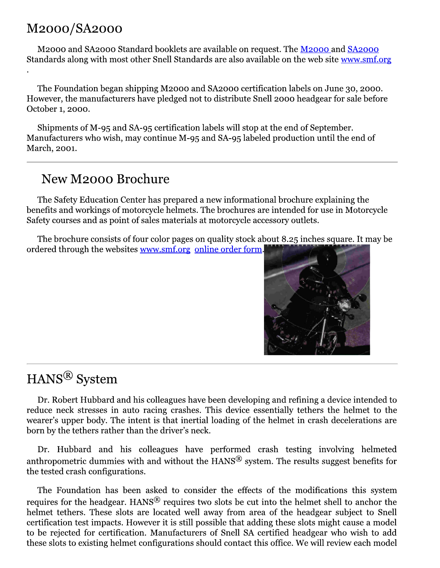### M2000/SA2000

M2000 and SA2000 Standard booklets are available on request. The M2000 and SA2000 Standards along with most other Snell Standards are also available on the web site www.smf.org

The Foundation began shipping M2000 and SA2000 certification labels on June 30, 2000. However, the manufacturers have pledged not to distribute Snell 2000 headgear for sale before October 1, 2000.

Shipments of M-95 and SA-95 certification labels will stop at the end of September. Manufacturers who wish, may continue M-95 and SA-95 labeled production until the end of March, 2001.

## New M2000 Brochure

The Safety Education Center has prepared a new informational brochure explaining the benefits and workings of motorcycle helmets. The brochures are intended for use in Motorcycle Safety courses and as point of sales materials at motorcycle accessory outlets.

The brochure consists of four color pages on quality stock about 8.25 inches square. It may be ordered through the websites www.smf.org online order form.



# HANS<sup>®</sup> System

Dr. Robert Hubbard and his colleagues have been developing and refining a device intended to reduce neck stresses in auto racing crashes. This device essentially tethers the helmet to the wearer's upper body. The intent is that inertial loading of the helmet in crash decelerations are born by the tethers rather than the driver's neck.

Dr. Hubbard and his colleagues have performed crash testing involving helmeted anthropometric dummies with and without the  $HANS^{\circledR}$  system. The results suggest benefits for the tested crash configurations.

The Foundation has been asked to consider the effects of the modifications this system requires for the headgear. HANS<sup>®</sup> requires two slots be cut into the helmet shell to anchor the helmet tethers. These slots are located well away from area of the headgear subject to Snell certification test impacts. However it is still possible that adding these slots might cause a model to be rejected for certification. Manufacturers of Snell SA certified headgear who wish to add these slots to existing helmet configurations should contact this office. We will review each model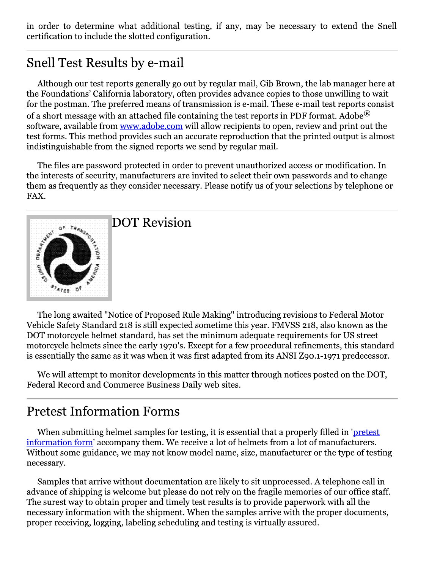in order to determine what additional testing, if any, may be necessary to extend the Snell certification to include the slotted configuration.

# Snell Test Results by e-mail

Although our test reports generally go out by regular mail, Gib Brown, the lab manager here at the Foundations' California laboratory, often provides advance copies to those unwilling to wait for the postman. The preferred means of transmission is e-mail. These e-mail test reports consist of a short message with an attached file containing the test reports in PDF format. Adobe  $\mathbb{R}^2$ software, available from www.adobe.com will allow recipients to open, review and print out the test forms. This method provides such an accurate reproduction that the printed output is almost indistinguishable from the signed reports we send by regular mail.

The files are password protected in order to prevent unauthorized access or modification. In the interests of security, manufacturers are invited to select their own passwords and to change them as frequently as they consider necessary. Please notify us of your selections by telephone or FAX.



The long awaited "Notice of Proposed Rule Making" introducing revisions to Federal Motor Vehicle Safety Standard 218 is still expected sometime this year. FMVSS 218, also known as the DOT motorcycle helmet standard, has set the minimum adequate requirements for US street motorcycle helmets since the early 1970's. Except for a few procedural refinements, this standard is essentially the same as it was when it was first adapted from its ANSI Z90.1-1971 predecessor.

We will attempt to monitor developments in this matter through notices posted on the DOT, Federal Record and Commerce Business Daily web sites.

### **Pretest Information Forms**

When submitting helmet samples for testing, it is essential that a properly filled in 'pretest information form' accompany them. We receive a lot of helmets from a lot of manufacturers. Without some guidance, we may not know model name, size, manufacturer or the type of testing necessary.

Samples that arrive without documentation are likely to sit unprocessed. A telephone call in advance of shipping is welcome but please do not rely on the fragile memories of our office staff. The surest way to obtain proper and timely test results is to provide paperwork with all the necessary information with the shipment. When the samples arrive with the proper documents, proper receiving, logging, labeling scheduling and testing is virtually assured.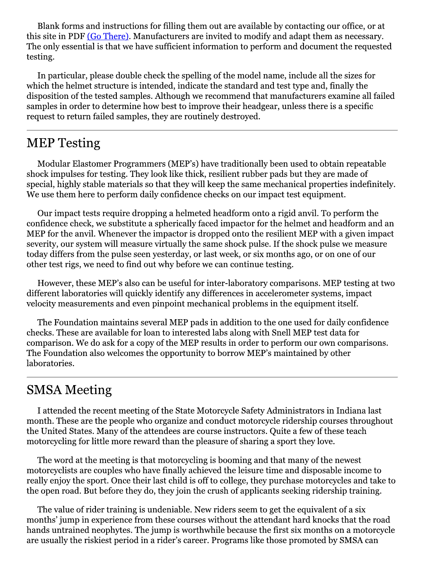Blank forms and instructions for filling them out are available by contacting our office, or at this site in PDF (Go There). Manufacturers are invited to modify and adapt them as necessary. The only essential is that we have sufficient information to perform and document the requested testing.

In particular, please double check the spelling of the model name, include all the sizes for which the helmet structure is intended, indicate the standard and test type and, finally the disposition of the tested samples. Although we recommend that manufacturers examine all failed samples in order to determine how best to improve their headgear, unless there is a specific request to return failed samples, they are routinely destroyed.

### **MEP Testing**

Modular Elastomer Programmers (MEP's) have traditionally been used to obtain repeatable shock impulses for testing. They look like thick, resilient rubber pads but they are made of special, highly stable materials so that they will keep the same mechanical properties indefinitely. We use them here to perform daily confidence checks on our impact test equipment.

Our impact tests require dropping a helmeted headform onto a rigid anvil. To perform the confidence check, we substitute a spherically faced impactor for the helmet and headform and an MEP for the anvil. Whenever the impactor is dropped onto the resilient MEP with a given impact severity, our system will measure virtually the same shock pulse. If the shock pulse we measure today differs from the pulse seen yesterday, or last week, or six months ago, or on one of our other test rigs, we need to find out why before we can continue testing.

However, these MEP's also can be useful for inter-laboratory comparisons. MEP testing at two different laboratories will quickly identify any differences in accelerometer systems, impact velocity measurements and even pinpoint mechanical problems in the equipment itself.

The Foundation maintains several MEP pads in addition to the one used for daily confidence checks. These are available for loan to interested labs along with Snell MEP test data for comparison. We do ask for a copy of the MEP results in order to perform our own comparisons. The Foundation also welcomes the opportunity to borrow MEP's maintained by other laboratories.

#### **SMSA Meeting**

I attended the recent meeting of the State Motorcycle Safety Administrators in Indiana last month. These are the people who organize and conduct motorcycle ridership courses throughout the United States. Many of the attendees are course instructors. Quite a few of these teach motorcycling for little more reward than the pleasure of sharing a sport they love.

The word at the meeting is that motorcycling is booming and that many of the newest motorcyclists are couples who have finally achieved the leisure time and disposable income to really enjoy the sport. Once their last child is off to college, they purchase motorcycles and take to the open road. But before they do, they join the crush of applicants seeking ridership training.

The value of rider training is undeniable. New riders seem to get the equivalent of a six months' jump in experience from these courses without the attendant hard knocks that the road hands untrained neophytes. The jump is worthwhile because the first six months on a motorcycle are usually the riskiest period in a rider's career. Programs like those promoted by SMSA can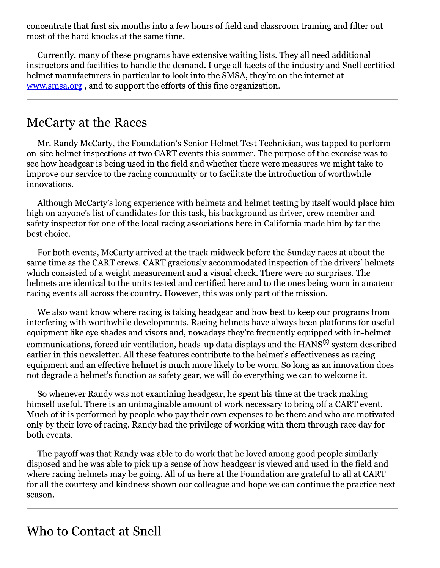concentrate that first six months into a few hours of field and classroom training and filter out most of the hard knocks at the same time.

Currently, many of these programs have extensive waiting lists. They all need additional instructors and facilities to handle the demand. I urge all facets of the industry and Snell certified helmet manufacturers in particular to look into the SMSA, they're on the internet at www.smsa.org, and to support the efforts of this fine organization.

#### McCarty at the Races

Mr. Randy McCarty, the Foundation's Senior Helmet Test Technician, was tapped to perform on-site helmet inspections at two CART events this summer. The purpose of the exercise was to see how headgear is being used in the field and whether there were measures we might take to improve our service to the racing community or to facilitate the introduction of worthwhile innovations.

Although McCarty's long experience with helmets and helmet testing by itself would place him high on anyone's list of candidates for this task, his background as driver, crew member and safety inspector for one of the local racing associations here in California made him by far the best choice.

For both events, McCarty arrived at the track midweek before the Sunday races at about the same time as the CART crews. CART graciously accommodated inspection of the drivers' helmets which consisted of a weight measurement and a visual check. There were no surprises. The helmets are identical to the units tested and certified here and to the ones being worn in amateur racing events all across the country. However, this was only part of the mission.

We also want know where racing is taking headgear and how best to keep our programs from interfering with worthwhile developments. Racing helmets have always been platforms for useful equipment like eye shades and visors and, nowadays they're frequently equipped with in-helmet communications, forced air ventilation, heads-up data displays and the HANS<sup>®</sup> system described earlier in this newsletter. All these features contribute to the helmet's effectiveness as racing equipment and an effective helmet is much more likely to be worn. So long as an innovation does not degrade a helmet's function as safety gear, we will do everything we can to welcome it.

So whenever Randy was not examining headgear, he spent his time at the track making himself useful. There is an unimaginable amount of work necessary to bring off a CART event. Much of it is performed by people who pay their own expenses to be there and who are motivated only by their love of racing. Randy had the privilege of working with them through race day for both events.

The payoff was that Randy was able to do work that he loved among good people similarly disposed and he was able to pick up a sense of how headgear is viewed and used in the field and where racing helmets may be going. All of us here at the Foundation are grateful to all at CART for all the courtesy and kindness shown our colleague and hope we can continue the practice next season.